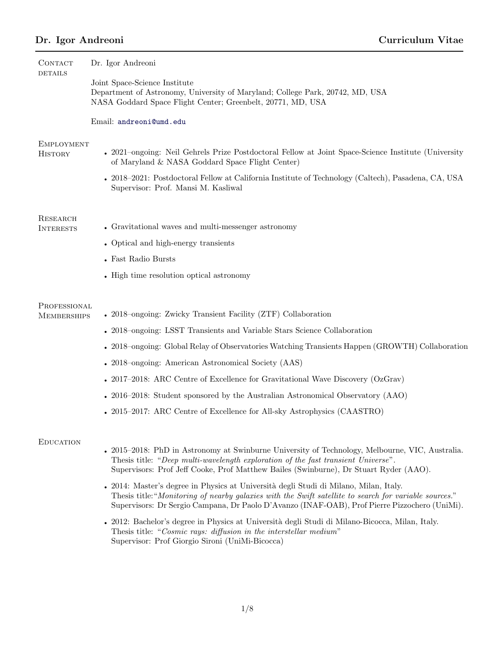| <b>CONTACT</b><br><b>DETAILS</b>    | Dr. Igor Andreoni                                                                                                                                                                                                                                                                                |
|-------------------------------------|--------------------------------------------------------------------------------------------------------------------------------------------------------------------------------------------------------------------------------------------------------------------------------------------------|
|                                     | Joint Space-Science Institute<br>Department of Astronomy, University of Maryland; College Park, 20742, MD, USA<br>NASA Goddard Space Flight Center; Greenbelt, 20771, MD, USA                                                                                                                    |
|                                     | Email: andreoni@umd.edu                                                                                                                                                                                                                                                                          |
| <b>EMPLOYMENT</b><br><b>HISTORY</b> | • 2021–ongoing: Neil Gehrels Prize Postdoctoral Fellow at Joint Space-Science Institute (University<br>of Maryland & NASA Goddard Space Flight Center)                                                                                                                                           |
|                                     | • 2018–2021: Postdoctoral Fellow at California Institute of Technology (Caltech), Pasadena, CA, USA<br>Supervisor: Prof. Mansi M. Kasliwal                                                                                                                                                       |
| RESEARCH<br><b>INTERESTS</b>        | • Gravitational waves and multi-messenger astronomy                                                                                                                                                                                                                                              |
|                                     | • Optical and high-energy transients                                                                                                                                                                                                                                                             |
|                                     | $\bullet\,$ Fast Radio Bursts                                                                                                                                                                                                                                                                    |
|                                     | • High time resolution optical astronomy                                                                                                                                                                                                                                                         |
| PROFESSIONAL<br><b>MEMBERSHIPS</b>  | • 2018–ongoing: Zwicky Transient Facility (ZTF) Collaboration                                                                                                                                                                                                                                    |
|                                     | • 2018–ongoing: LSST Transients and Variable Stars Science Collaboration                                                                                                                                                                                                                         |
|                                     | • 2018–ongoing: Global Relay of Observatories Watching Transients Happen (GROWTH) Collaboration                                                                                                                                                                                                  |
|                                     | • 2018–ongoing: American Astronomical Society (AAS)                                                                                                                                                                                                                                              |
|                                     | • 2017–2018: ARC Centre of Excellence for Gravitational Wave Discovery (OzGrav)                                                                                                                                                                                                                  |
|                                     | • 2016–2018: Student sponsored by the Australian Astronomical Observatory (AAO)                                                                                                                                                                                                                  |
|                                     | • 2015–2017: ARC Centre of Excellence for All-sky Astrophysics (CAASTRO)                                                                                                                                                                                                                         |
| <b>EDUCATION</b>                    |                                                                                                                                                                                                                                                                                                  |
|                                     | • 2015–2018: PhD in Astronomy at Swinburne University of Technology, Melbourne, VIC, Australia.<br>Thesis title: "Deep multi-wavelength exploration of the fast transient Universe".<br>Supervisors: Prof Jeff Cooke, Prof Matthew Bailes (Swinburne), Dr Stuart Ryder (AAO).                    |
|                                     | • 2014: Master's degree in Physics at Università degli Studi di Milano, Milan, Italy.<br>Thesis title: "Monitoring of nearby galaxies with the Swift satellite to search for variable sources."<br>Supervisors: Dr Sergio Campana, Dr Paolo D'Avanzo (INAF-OAB), Prof Pierre Pizzochero (UniMi). |
|                                     | 2012: Bachelor's degree in Physics at Università degli Studi di Milano-Bicocca, Milan, Italy.<br>Thesis title: "Cosmic rays: diffusion in the interstellar medium"<br>Supervisor: Prof Giorgio Sironi (UniMi-Bicocca)                                                                            |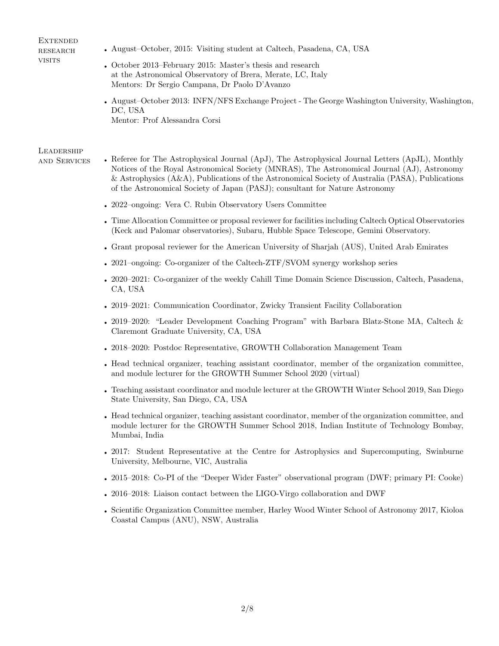#### **EXTENDED RESEARCH VISITS**

- August–October, 2015: Visiting student at Caltech, Pasadena, CA, USA
- October 2013–February 2015: Master's thesis and research at the Astronomical Observatory of Brera, Merate, LC, Italy Mentors: Dr Sergio Campana, Dr Paolo D'Avanzo
- August–October 2013: INFN/NFS Exchange Project The George Washington University, Washington, DC, USA Mentor: Prof Alessandra Corsi

# **LEADERSHIP**

- and Services Referee for The Astrophysical Journal (ApJ), The Astrophysical Journal Letters (ApJL), Monthly Notices of the Royal Astronomical Society (MNRAS), The Astronomical Journal (AJ), Astronomy & Astrophysics (A&A), Publications of the Astronomical Society of Australia (PASA), Publications of the Astronomical Society of Japan (PASJ); consultant for Nature Astronomy
	- 2022–ongoing: Vera C. Rubin Observatory Users Committee
	- Time Allocation Committee or proposal reviewer for facilities including Caltech Optical Observatories (Keck and Palomar observatories), Subaru, Hubble Space Telescope, Gemini Observatory.
	- Grant proposal reviewer for the American University of Sharjah (AUS), United Arab Emirates
	- 2021–ongoing: Co-organizer of the Caltech-ZTF/SVOM synergy workshop series
	- 2020–2021: Co-organizer of the weekly Cahill Time Domain Science Discussion, Caltech, Pasadena, CA, USA
	- 2019–2021: Communication Coordinator, Zwicky Transient Facility Collaboration
	- 2019–2020: "Leader Development Coaching Program" with Barbara Blatz-Stone MA, Caltech & Claremont Graduate University, CA, USA
	- 2018–2020: Postdoc Representative, GROWTH Collaboration Management Team
	- Head technical organizer, teaching assistant coordinator, member of the organization committee, and module lecturer for the GROWTH Summer School 2020 (virtual)
	- Teaching assistant coordinator and module lecturer at the GROWTH Winter School 2019, San Diego State University, San Diego, CA, USA
	- Head technical organizer, teaching assistant coordinator, member of the organization committee, and module lecturer for the GROWTH Summer School 2018, Indian Institute of Technology Bombay, Mumbai, India
	- 2017: Student Representative at the Centre for Astrophysics and Supercomputing, Swinburne University, Melbourne, VIC, Australia
	- 2015–2018: Co-PI of the "Deeper Wider Faster" observational program (DWF; primary PI: Cooke)
	- 2016–2018: Liaison contact between the LIGO-Virgo collaboration and DWF
	- Scientific Organization Committee member, Harley Wood Winter School of Astronomy 2017, Kioloa Coastal Campus (ANU), NSW, Australia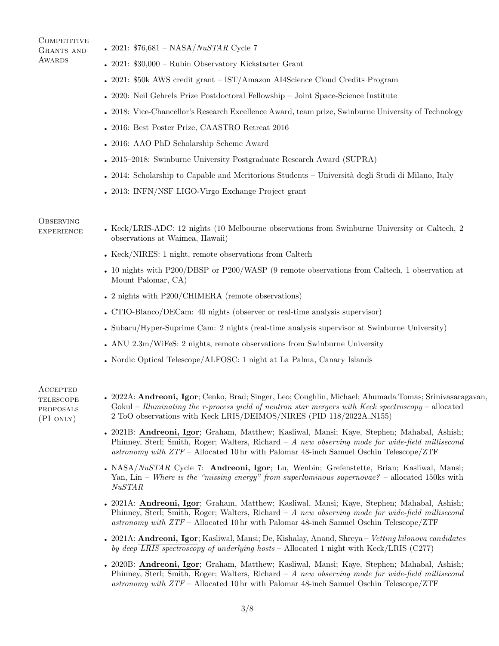#### COMPETITIVE Grants and **AWARDS**

- 2021:  $$76,681 NASA/NuSTAR$  Cycle 7
- 2021: \$30,000 Rubin Observatory Kickstarter Grant
- 2021: \$50k AWS credit grant IST/Amazon AI4Science Cloud Credits Program
- 2020: Neil Gehrels Prize Postdoctoral Fellowship Joint Space-Science Institute
- 2018: Vice-Chancellor's Research Excellence Award, team prize, Swinburne University of Technology
- 2016: Best Poster Prize, CAASTRO Retreat 2016
- 2016: AAO PhD Scholarship Scheme Award
- 2015–2018: Swinburne University Postgraduate Research Award (SUPRA)
- 2014: Scholarship to Capable and Meritorious Students Università degli Studi di Milano, Italy
- 2013: INFN/NSF LIGO-Virgo Exchange Project grant

### **OBSERVING**

- 
- experience Keck/LRIS-ADC: 12 nights (10 Melbourne observations from Swinburne University or Caltech, 2 observations at Waimea, Hawaii)
	- Keck/NIRES: 1 night, remote observations from Caltech
	- 10 nights with P200/DBSP or P200/WASP (9 remote observations from Caltech, 1 observation at Mount Palomar, CA)
	- 2 nights with P200/CHIMERA (remote observations)
	- CTIO-Blanco/DECam: 40 nights (observer or real-time analysis supervisor)
	- Subaru/Hyper-Suprime Cam: 2 nights (real-time analysis supervisor at Swinburne University)
	- ANU 2.3m/WiFeS: 2 nights, remote observations from Swinburne University
	- Nordic Optical Telescope/ALFOSC: 1 night at La Palma, Canary Islands

**ACCEPTED TELESCOPE** proposals (PI only)

- 2022A: Andreoni, Igor; Cenko, Brad; Singer, Leo; Coughlin, Michael; Ahumada Tomas; Srinivasaragavan, Gokul – Illuminating the r-process yield of neutron star mergers with Keck spectroscopy – allocated 2 ToO observations with Keck LRIS/DEIMOS/NIRES (PID 118/2022A N155)
- 2021B: Andreoni, Igor; Graham, Matthew; Kasliwal, Mansi; Kaye, Stephen; Mahabal, Ashish; Phinney, Sterl; Smith, Roger; Walters, Richard – A new observing mode for wide-field millisecond astronomy with ZTF – Allocated 10 hr with Palomar 48-inch Samuel Oschin Telescope/ZTF
- NASA/NuSTAR Cycle 7: Andreoni, Igor; Lu, Wenbin; Grefenstette, Brian; Kasliwal, Mansi; Yan, Lin – Where is the "missing energy" from superluminous supernovae? – allocated 150ks with NuSTAR
- 2021A: Andreoni, Igor; Graham, Matthew; Kasliwal, Mansi; Kaye, Stephen; Mahabal, Ashish; Phinney, Sterl; Smith, Roger; Walters, Richard  $-A$  new observing mode for wide-field millisecond astronomy with ZTF – Allocated 10 hr with Palomar 48-inch Samuel Oschin Telescope/ZTF
- 2021A: Andreoni, Igor; Kasliwal, Mansi; De, Kishalay, Anand, Shreya Vetting kilonova candidates by deep LRIS spectroscopy of underlying hosts – Allocated 1 night with Keck/LRIS (C277)
- 2020B: Andreoni, Igor; Graham, Matthew; Kasliwal, Mansi; Kaye, Stephen; Mahabal, Ashish; Phinney, Sterl; Smith, Roger; Walters, Richard – A new observing mode for wide-field millisecond astronomy with ZTF – Allocated 10 hr with Palomar 48-inch Samuel Oschin Telescope/ZTF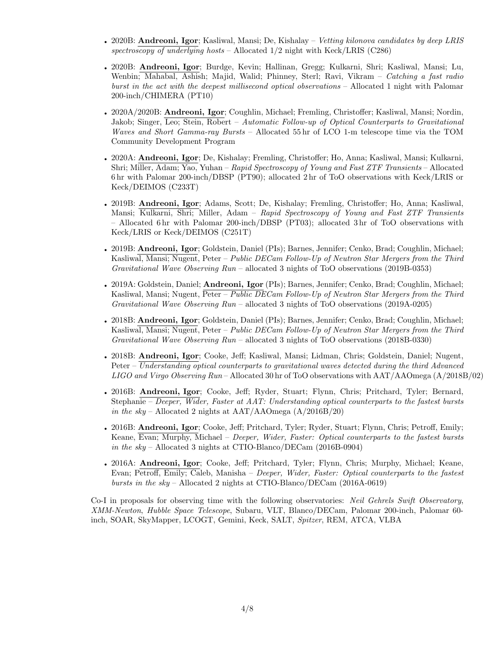- 2020B: Andreoni, Igor; Kasliwal, Mansi; De, Kishalay Vetting kilonova candidates by deep LRIS spectroscopy of underlying hosts – Allocated  $1/2$  night with Keck/LRIS (C286)
- 2020B: Andreoni, Igor; Burdge, Kevin; Hallinan, Gregg; Kulkarni, Shri; Kasliwal, Mansi; Lu, Wenbin; Mahabal, Ashish; Majid, Walid; Phinney, Sterl; Ravi, Vikram – Catching a fast radio burst in the act with the deepest millisecond optical observations – Allocated 1 night with Palomar 200-inch/CHIMERA (PT10)
- 2020A/2020B: Andreoni, Igor; Coughlin, Michael; Fremling, Christoffer; Kasliwal, Mansi; Nordin, Jakob; Singer, Leo; Stein, Robert – Automatic Follow-up of Optical Counterparts to Gravitational Waves and Short Gamma-ray Bursts – Allocated 55 hr of LCO 1-m telescope time via the TOM Community Development Program
- 2020A: Andreoni, Igor; De, Kishalay; Fremling, Christoffer; Ho, Anna; Kasliwal, Mansi; Kulkarni, Shri; Miller, Adam; Yao, Yuhan – Rapid Spectroscopy of Young and Fast ZTF Transients – Allocated 6 hr with Palomar 200-inch/DBSP (PT90); allocated 2 hr of ToO observations with Keck/LRIS or Keck/DEIMOS (C233T)
- 2019B: Andreoni, Igor; Adams, Scott; De, Kishalay; Fremling, Christoffer; Ho, Anna; Kasliwal, Mansi; Kulkarni, Shri; Miller, Adam – Rapid Spectroscopy of Young and Fast ZTF Transients – Allocated 6 hr with Palomar 200-inch/DBSP (PT03); allocated 3 hr of ToO observations with Keck/LRIS or Keck/DEIMOS (C251T)
- 2019B: **Andreoni, Igor**; Goldstein, Daniel (PIs); Barnes, Jennifer; Cenko, Brad; Coughlin, Michael; Kasliwal, Mansi; Nugent, Peter – Public DECam Follow-Up of Neutron Star Mergers from the Third Gravitational Wave Observing Run – allocated 3 nights of ToO observations (2019B-0353)
- 2019A: Goldstein, Daniel; Andreoni, Igor (PIs); Barnes, Jennifer; Cenko, Brad; Coughlin, Michael; Kasliwal, Mansi; Nugent, Peter – *Public DECam Follow-Up of Neutron Star Mergers from the Third* Gravitational Wave Observing Run – allocated 3 nights of ToO observations (2019A-0205)
- 2018B: **Andreoni, Igor**; Goldstein, Daniel (PIs); Barnes, Jennifer; Cenko, Brad; Coughlin, Michael; Kasliwal, Mansi; Nugent, Peter – Public DECam Follow-Up of Neutron Star Mergers from the Third Gravitational Wave Observing Run – allocated 3 nights of ToO observations (2018B-0330)
- 2018B: Andreoni, Igor; Cooke, Jeff; Kasliwal, Mansi; Lidman, Chris; Goldstein, Daniel; Nugent, Peter – Understanding optical counterparts to gravitational waves detected during the third Advanced LIGO and Virgo Observing Run – Allocated 30 hr of ToO observations with AAT/AAOmega (A/2018B/02)
- 2016B: Andreoni, Igor; Cooke, Jeff; Ryder, Stuart; Flynn, Chris; Pritchard, Tyler; Bernard, Stephanie – Deeper, Wider, Faster at AAT: Understanding optical counterparts to the fastest bursts in the sky – Allocated 2 nights at  $AAT/AAOmega$  (A $/2016B/20$ )
- 2016B: Andreoni, Igor; Cooke, Jeff; Pritchard, Tyler; Ryder, Stuart; Flynn, Chris; Petroff, Emily; Keane, Evan; Murphy, Michael – Deeper, Wider, Faster: Optical counterparts to the fastest bursts in the sky – Allocated 3 nights at CTIO-Blanco/DECam (2016B-0904)
- 2016A: Andreoni, Igor; Cooke, Jeff; Pritchard, Tyler; Flynn, Chris; Murphy, Michael; Keane, Evan; Petroff, Emily; Caleb, Manisha – Deeper, Wider, Faster: Optical counterparts to the fastest bursts in the sky – Allocated 2 nights at CTIO-Blanco/DECam (2016A-0619)

Co-I in proposals for observing time with the following observatories: Neil Gehrels Swift Observatory, XMM-Newton, Hubble Space Telescope, Subaru, VLT, Blanco/DECam, Palomar 200-inch, Palomar 60 inch, SOAR, SkyMapper, LCOGT, Gemini, Keck, SALT, Spitzer, REM, ATCA, VLBA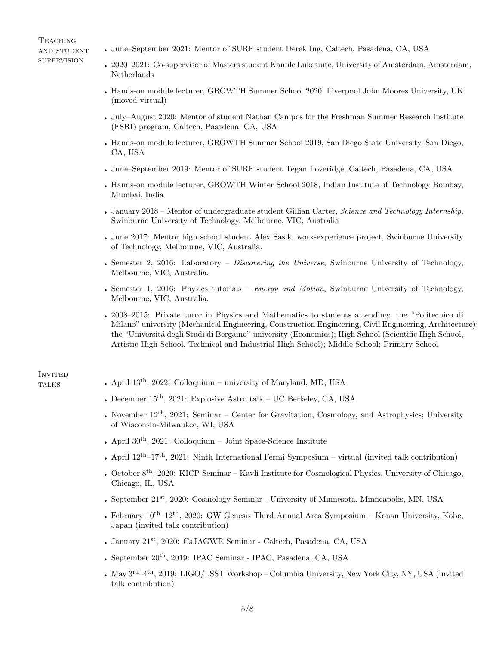**TEACHING** and student **SUPERVISION** 

- June–September 2021: Mentor of SURF student Derek Ing, Caltech, Pasadena, CA, USA
- 2020–2021: Co-supervisor of Masters student Kamile Lukosiute, University of Amsterdam, Amsterdam, Netherlands
- Hands-on module lecturer, GROWTH Summer School 2020, Liverpool John Moores University, UK (moved virtual)
- July–August 2020: Mentor of student Nathan Campos for the Freshman Summer Research Institute (FSRI) program, Caltech, Pasadena, CA, USA
- Hands-on module lecturer, GROWTH Summer School 2019, San Diego State University, San Diego, CA, USA
- June–September 2019: Mentor of SURF student Tegan Loveridge, Caltech, Pasadena, CA, USA
- Hands-on module lecturer, GROWTH Winter School 2018, Indian Institute of Technology Bombay, Mumbai, India
- January 2018 Mentor of undergraduate student Gillian Carter, Science and Technology Internship, Swinburne University of Technology, Melbourne, VIC, Australia
- June 2017: Mentor high school student Alex Sasik, work-experience project, Swinburne University of Technology, Melbourne, VIC, Australia.
- Semester 2, 2016: Laboratory *Discovering the Universe*, Swinburne University of Technology, Melbourne, VIC, Australia.
- Semester 1, 2016: Physics tutorials *Energy and Motion*, Swinburne University of Technology, Melbourne, VIC, Australia.
- 2008–2015: Private tutor in Physics and Mathematics to students attending: the "Politecnico di Milano" university (Mechanical Engineering, Construction Engineering, Civil Engineering, Architecture); the "Università degli Studi di Bergamo" university (Economics); High School (Scientific High School, Artistic High School, Technical and Industrial High School); Middle School; Primary School

# **INVITED**

- talks April 13th, 2022: Colloquium university of Maryland, MD, USA
	- December  $15^{\text{th}}$ , 2021: Explosive Astro talk UC Berkeley, CA, USA
	- November  $12^{th}$ , 2021: Seminar Center for Gravitation, Cosmology, and Astrophysics; University of Wisconsin-Milwaukee, WI, USA
	- April  $30<sup>th</sup>$ , 2021: Colloquium Joint Space-Science Institute
	- April  $12^{th}-17^{th}$ , 2021: Ninth International Fermi Symposium virtual (invited talk contribution)
	- October 8th, 2020: KICP Seminar Kavli Institute for Cosmological Physics, University of Chicago, Chicago, IL, USA
	- September 21<sup>st</sup>, 2020: Cosmology Seminar University of Minnesota, Minneapolis, MN, USA
	- February  $10^{th}-12^{th}$ , 2020: GW Genesis Third Annual Area Symposium Konan University, Kobe, Japan (invited talk contribution)
	- January 21st, 2020: CaJAGWR Seminar Caltech, Pasadena, CA, USA
	- September 20<sup>th</sup>, 2019: IPAC Seminar IPAC, Pasadena, CA, USA
	- May  $3^{\text{rd}}-4^{\text{th}}$ , 2019: LIGO/LSST Workshop Columbia University, New York City, NY, USA (invited talk contribution)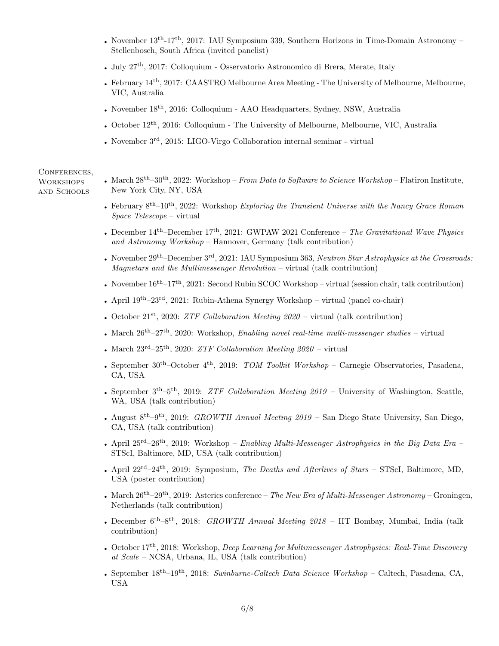- November  $13^{th}$ -17<sup>th</sup>, 2017: IAU Symposium 339, Southern Horizons in Time-Domain Astronomy Stellenbosch, South Africa (invited panelist)
- July  $27<sup>th</sup>$ , 2017: Colloquium Osservatorio Astronomico di Brera, Merate, Italy
- February 14<sup>th</sup>, 2017: CAASTRO Melbourne Area Meeting The University of Melbourne, Melbourne, VIC, Australia
- November 18<sup>th</sup>, 2016: Colloquium AAO Headquarters, Sydney, NSW, Australia
- October  $12<sup>th</sup>$ , 2016: Colloquium The University of Melbourne, Melbourne, VIC, Australia
- November 3rd, 2015: LIGO-Virgo Collaboration internal seminar virtual

#### CONFERENCES,

**WORKSHOPS** and Schools

- March  $28^{th}$ – $30^{th}$ ,  $2022$ : Workshop From Data to Software to Science Workshop Flatiron Institute, New York City, NY, USA
- February  $8^{th}-10^{th}$ , 2022: Workshop Exploring the Transient Universe with the Nancy Grace Roman Space Telescope – virtual
- December  $14<sup>th</sup>$ –December  $17<sup>th</sup>$ , 2021: GWPAW 2021 Conference The Gravitational Wave Physics and Astronomy Workshop – Hannover, Germany (talk contribution)
- November  $29<sup>th</sup>$ –December  $3<sup>rd</sup>$ , 2021: IAU Symposium 363, Neutron Star Astrophysics at the Crossroads: Magnetars and the Multimessenger Revolution – virtual (talk contribution)
- November  $16^{th}-17^{th}$ , 2021: Second Rubin SCOC Workshop virtual (session chair, talk contribution)
- April  $19^{th}-23^{rd}$ , 2021: Rubin-Athena Synergy Workshop virtual (panel co-chair)
- October  $21^{st}$ , 2020: *ZTF Collaboration Meeting 2020* virtual (talk contribution)
- March  $26^{th}-27^{th}$ , 2020: Workshop, *Enabling novel real-time multi-messenger studies* virtual
- March  $23^{\text{rd}}-25^{\text{th}}$ , 2020: *ZTF Collaboration Meeting 2020* virtual
- September  $30<sup>th</sup>$ -October  $4<sup>th</sup>$ , 2019: TOM Toolkit Workshop Carnegie Observatories, Pasadena, CA, USA
- September  $3<sup>th</sup>-5<sup>th</sup>$ , 2019: *ZTF Collaboration Meeting 2019* University of Washington, Seattle, WA, USA (talk contribution)
- August  $8^{th}-9^{th}$ , 2019: GROWTH Annual Meeting 2019 San Diego State University, San Diego, CA, USA (talk contribution)
- April  $25^{rd}-26^{th}$ , 2019: Workshop Enabling Multi-Messenger Astrophysics in the Big Data Era STScI, Baltimore, MD, USA (talk contribution)
- April  $22^{rd}-24^{th}$ ,  $2019$ : Symposium, The Deaths and Afterlives of Stars STScI, Baltimore, MD, USA (poster contribution)
- March  $26^{th}-29^{th}$ , 2019: Asterics conference The New Era of Multi-Messenger Astronomy Groningen, Netherlands (talk contribution)
- December  $6^{th}-8^{th}$ , 2018: GROWTH Annual Meeting 2018 IIT Bombay, Mumbai, India (talk contribution)
- October 17<sup>th</sup>, 2018: Workshop, *Deep Learning for Multimessenger Astrophysics: Real-Time Discovery* at Scale – NCSA, Urbana, IL, USA (talk contribution)
- September  $18^{th}-19^{th}$ , 2018: Swinburne-Caltech Data Science Workshop Caltech, Pasadena, CA, USA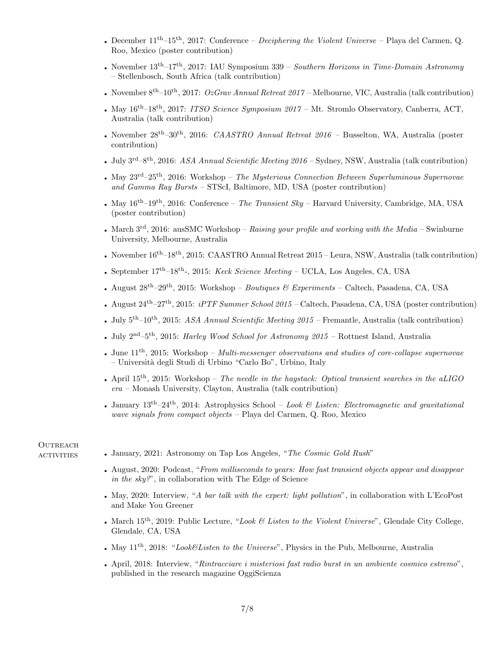- December  $11^{th}-15^{th}$ , 2017: Conference *Deciphering the Violent Universe* Playa del Carmen, Q. Roo, Mexico (poster contribution)
- November  $13^{th}-17^{th}$ , 2017: IAU Symposium 339 Southern Horizons in Time-Domain Astronomy – Stellenbosch, South Africa (talk contribution)
- November  $8^{th}-10^{th}$ , 2017:  $OzGrav$  Annual Retreat 2017 Melbourne, VIC, Australia (talk contribution)
- May  $16^{th}-18^{th}$ , 2017: *ITSO Science Symposium 2017* Mt. Stromlo Observatory, Canberra, ACT, Australia (talk contribution)
- November  $28^{th}-30^{th}$ , 2016: *CAASTRO Annual Retreat*  $2016$  Busselton, WA, Australia (poster contribution)
- July  $3^{rd}-8^{th}$ , 2016: ASA Annual Scientific Meeting 2016 Sydney, NSW, Australia (talk contribution)
- May  $23^{\text{rd}}-25^{\text{th}}$ , 2016: Workshop The Mysterious Connection Between Superluminous Supernovae and Gamma Ray Bursts – STScI, Baltimore, MD, USA (poster contribution)
- May  $16^{th}-19^{th}$ , 2016: Conference The Transient Sky Harvard University, Cambridge, MA, USA (poster contribution)
- March  $3<sup>rd</sup>$ , 2016: ausSMC Workshop Raising your profile and working with the Media Swinburne University, Melbourne, Australia
- November  $16^{th}-18^{th}$ , 2015: CAASTRO Annual Retreat 2015 Leura, NSW, Australia (talk contribution)
- September  $17<sup>th</sup>$ –18<sup>th</sup>–, 2015: *Keck Science Meeting* UCLA, Los Angeles, CA, USA
- August  $28^{th}-29^{th}$ , 2015: Workshop Boutiques & Experiments Caltech, Pasadena, CA, USA
- August  $24^{th}-27^{th}$ , 2015: *iPTF Summer School 2015* Caltech, Pasadena, CA, USA (poster contribution)
- July  $5<sup>th</sup>-10<sup>th</sup>$ , 2015: ASA Annual Scientific Meeting 2015 Fremantle, Australia (talk contribution)
- July  $2^{nd}-5^{th}$ , 2015: *Harley Wood School for Astronomy 2015* Rottnest Island, Australia
- June  $11<sup>th</sup>$ , 2015: Workshop *Multi-messenger observations and studies of core-collapse supernovae* – Universit`a degli Studi di Urbino "Carlo Bo", Urbino, Italy
- April  $15<sup>th</sup>$ , 2015: Workshop The needle in the haystack: Optical transient searches in the aLIGO era – Monash University, Clayton, Australia (talk contribution)
- January  $13^{th}-24^{th}$ , 2014: Astrophysics School Look & Listen: Electromagnetic and gravitational wave signals from compact objects – Playa del Carmen, Q. Roo, Mexico

### **OUTREACH**

- ACTIVITIES January, 2021: Astronomy on Tap Los Angeles, "The Cosmic Gold Rush"
	- August, 2020: Podcast, "From milliseconds to years: How fast transient objects appear and disappear in the sky?", in collaboration with The Edge of Science
	- May, 2020: Interview, "A bar talk with the expert: light pollution", in collaboration with L'EcoPost and Make You Greener
	- March  $15<sup>th</sup>$ , 2019: Public Lecture, "Look & Listen to the Violent Universe", Glendale City College, Glendale, CA, USA
	- May  $11<sup>th</sup>$ ,  $2018$ : "Look&Listen to the Universe", Physics in the Pub, Melbourne, Australia
	- April, 2018: Interview, "Rintracciare i misteriosi fast radio burst in un ambiente cosmico estremo", published in the research magazine OggiScienza